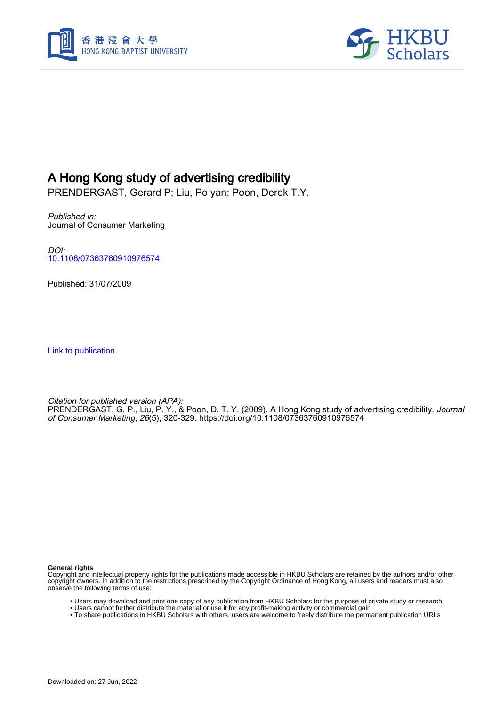



# A Hong Kong study of advertising credibility

PRENDERGAST, Gerard P; Liu, Po yan; Poon, Derek T.Y.

Published in: Journal of Consumer Marketing

DOI: [10.1108/07363760910976574](https://doi.org/10.1108/07363760910976574)

Published: 31/07/2009

[Link to publication](https://scholars.hkbu.edu.hk/en/publications/55ef8777-7e85-4f23-8c53-26b26bba69ee)

Citation for published version (APA): PRENDERGAST, G. P., Liu, P. Y., & Poon, D. T. Y. (2009). A Hong Kong study of advertising credibility. *Journal* of Consumer Marketing, 26(5), 320-329. <https://doi.org/10.1108/07363760910976574>

**General rights**

Copyright and intellectual property rights for the publications made accessible in HKBU Scholars are retained by the authors and/or other copyright owners. In addition to the restrictions prescribed by the Copyright Ordinance of Hong Kong, all users and readers must also observe the following terms of use:

- Users may download and print one copy of any publication from HKBU Scholars for the purpose of private study or research
- Users cannot further distribute the material or use it for any profit-making activity or commercial gain
- To share publications in HKBU Scholars with others, users are welcome to freely distribute the permanent publication URLs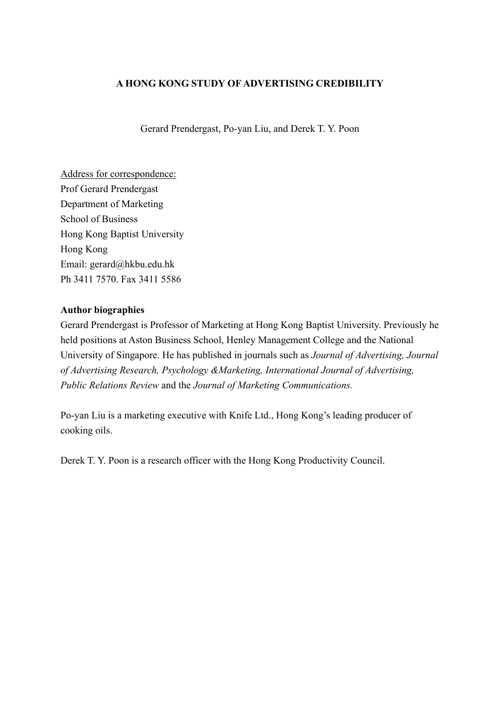## **A HONG KONG STUDY OF ADVERTISING CREDIBILITY**

Gerard Prendergast, Po-yan Liu, and Derek T. Y. Poon

Address for correspondence: Prof Gerard Prendergast Department of Marketing School of Business Hong Kong Baptist University Hong Kong Email: gerard@hkbu.edu.hk Ph 3411 7570. Fax 3411 5586

## **Author biographies**

Gerard Prendergast is Professor of Marketing at Hong Kong Baptist University. Previously he held positions at Aston Business School, Henley Management College and the National University of Singapore. He has published in journals such as *Journal of Advertising, Journal of Advertising Research, Psychology &Marketing, International Journal of Advertising, Public Relations Review* and the *Journal of Marketing Communications.*

Po-yan Liu is a marketing executive with Knife Ltd., Hong Kong's leading producer of cooking oils.

Derek T. Y. Poon is a research officer with the Hong Kong Productivity Council.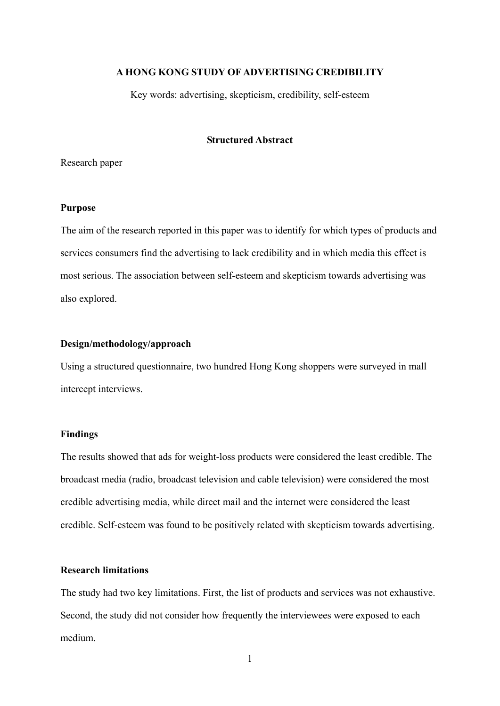## **A HONG KONG STUDY OF ADVERTISING CREDIBILITY**

Key words: advertising, skepticism, credibility, self-esteem

## **Structured Abstract**

Research paper

## **Purpose**

The aim of the research reported in this paper was to identify for which types of products and services consumers find the advertising to lack credibility and in which media this effect is most serious. The association between self-esteem and skepticism towards advertising was also explored.

## **Design/methodology/approach**

Using a structured questionnaire, two hundred Hong Kong shoppers were surveyed in mall intercept interviews.

#### **Findings**

The results showed that ads for weight-loss products were considered the least credible. The broadcast media (radio, broadcast television and cable television) were considered the most credible advertising media, while direct mail and the internet were considered the least credible. Self-esteem was found to be positively related with skepticism towards advertising.

## **Research limitations**

The study had two key limitations. First, the list of products and services was not exhaustive. Second, the study did not consider how frequently the interviewees were exposed to each medium.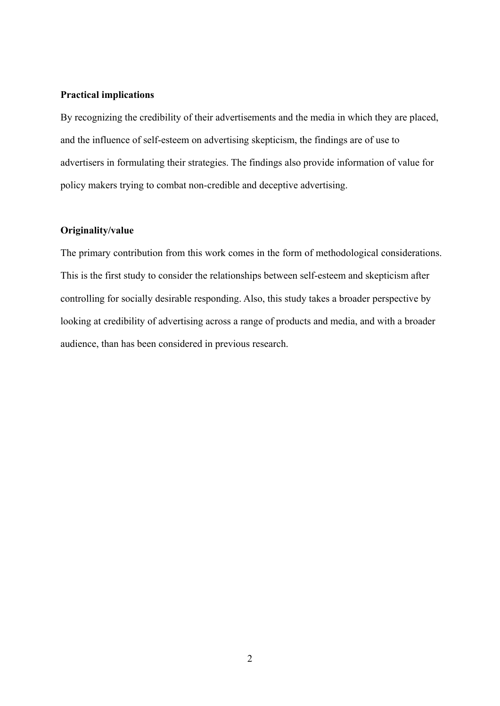#### **Practical implications**

By recognizing the credibility of their advertisements and the media in which they are placed, and the influence of self-esteem on advertising skepticism, the findings are of use to advertisers in formulating their strategies. The findings also provide information of value for policy makers trying to combat non-credible and deceptive advertising.

## **Originality/value**

The primary contribution from this work comes in the form of methodological considerations. This is the first study to consider the relationships between self-esteem and skepticism after controlling for socially desirable responding. Also, this study takes a broader perspective by looking at credibility of advertising across a range of products and media, and with a broader audience, than has been considered in previous research.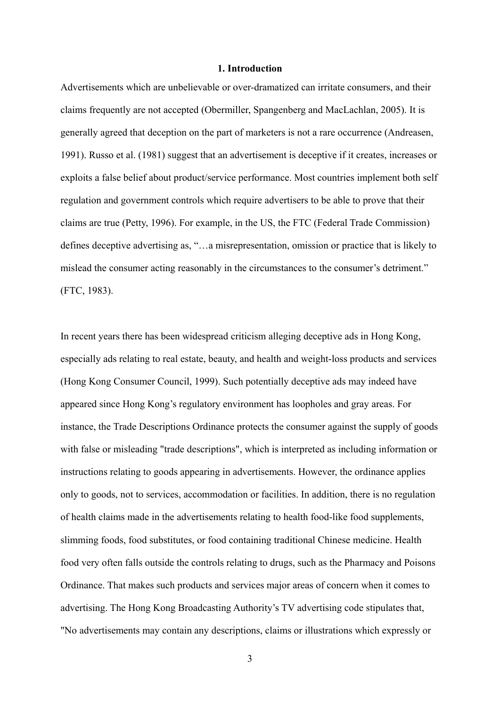#### **1. Introduction**

Advertisements which are unbelievable or over-dramatized can irritate consumers, and their claims frequently are not accepted (Obermiller, Spangenberg and MacLachlan, 2005). It is generally agreed that deception on the part of marketers is not a rare occurrence (Andreasen, 1991). Russo et al. (1981) suggest that an advertisement is deceptive if it creates, increases or exploits a false belief about product/service performance. Most countries implement both self regulation and government controls which require advertisers to be able to prove that their claims are true (Petty, 1996). For example, in the US, the FTC (Federal Trade Commission) defines deceptive advertising as, "…a misrepresentation, omission or practice that is likely to mislead the consumer acting reasonably in the circumstances to the consumer's detriment." (FTC, 1983).

In recent years there has been widespread criticism alleging deceptive ads in Hong Kong, especially ads relating to real estate, beauty, and health and weight-loss products and services (Hong Kong Consumer Council, 1999). Such potentially deceptive ads may indeed have appeared since Hong Kong's regulatory environment has loopholes and gray areas. For instance, the [Trade Descriptions Ordinance](http://www.justice.gov.hk/Home.htm) protects the consumer against the supply of goods with false or misleading "trade descriptions", which is interpreted as including information or instructions relating to goods appearing in advertisements. However, the ordinance applies only to goods, not to services, accommodation or facilities. In addition, there is no regulation of health claims made in the advertisements relating to health food-like food supplements, slimming foods, food substitutes, or food containing traditional Chinese medicine. Health food very often falls outside the controls relating to drugs, such as the Pharmacy and Poisons Ordinance. That makes such products and services major areas of concern when it comes to advertising. The Hong Kong Broadcasting Authority's TV advertising code stipulates that, "No advertisements may contain any descriptions, claims or illustrations which expressly or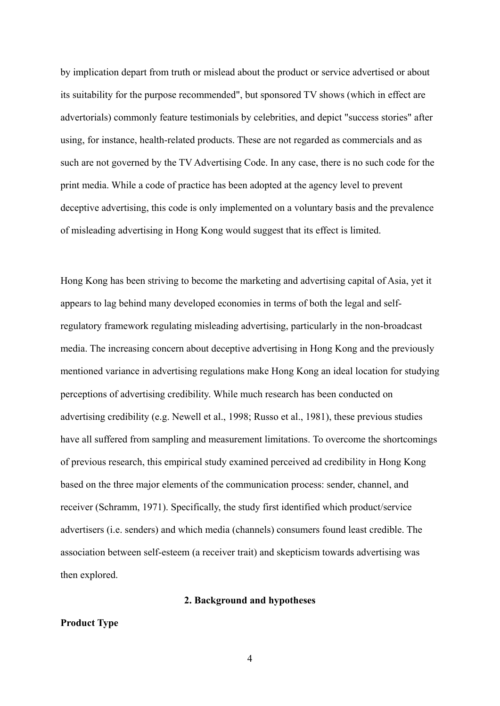by implication depart from truth or mislead about the product or service advertised or about its suitability for the purpose recommended", but sponsored TV shows (which in effect are advertorials) commonly feature testimonials by celebrities, and depict "success stories" after using, for instance, health-related products. These are not regarded as commercials and as such are not governed by the TV Advertising Code. In any case, there is no such code for the print media. While a code of practice has been adopted at the agency level to prevent deceptive advertising, this code is only implemented on a voluntary basis and the prevalence of misleading advertising in Hong Kong would suggest that its effect is limited.

Hong Kong has been striving to become the marketing and advertising capital of Asia, yet it appears to lag behind many developed economies in terms of both the legal and selfregulatory framework regulating misleading advertising, particularly in the non-broadcast media. The increasing concern about deceptive advertising in Hong Kong and the previously mentioned variance in advertising regulations make Hong Kong an ideal location for studying perceptions of advertising credibility. While much research has been conducted on advertising credibility (e.g. Newell et al., 1998; Russo et al., 1981), these previous studies have all suffered from sampling and measurement limitations. To overcome the shortcomings of previous research, this empirical study examined perceived ad credibility in Hong Kong based on the three major elements of the communication process: sender, channel, and receiver (Schramm, 1971). Specifically, the study first identified which product/service advertisers (i.e. senders) and which media (channels) consumers found least credible. The association between self-esteem (a receiver trait) and skepticism towards advertising was then explored.

#### **2. Background and hypotheses**

#### **Product Type**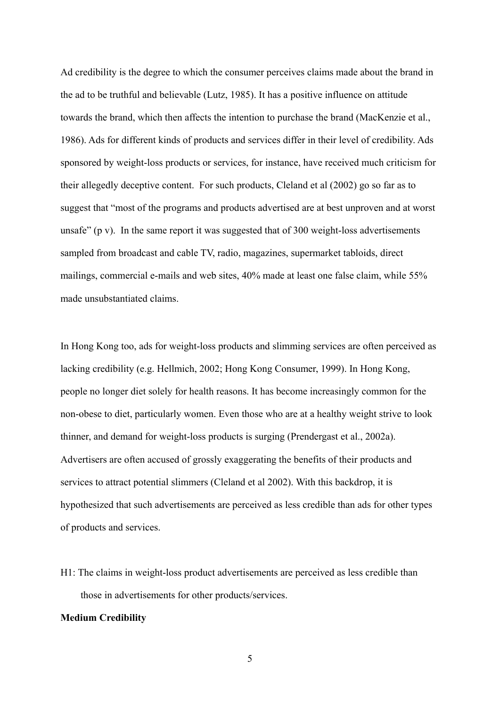Ad credibility is the degree to which the consumer perceives claims made about the brand in the ad to be truthful and believable (Lutz, 1985). It has a positive influence on attitude towards the brand, which then affects the intention to purchase the brand (MacKenzie et al., 1986). Ads for different kinds of products and services differ in their level of credibility. Ads sponsored by weight-loss products or services, for instance, have received much criticism for their allegedly deceptive content. For such products, Cleland et al (2002) go so far as to suggest that "most of the programs and products advertised are at best unproven and at worst unsafe" (p v). In the same report it was suggested that of 300 weight-loss advertisements sampled from broadcast and cable TV, radio, magazines, supermarket tabloids, direct mailings, commercial e-mails and web sites, 40% made at least one false claim, while 55% made unsubstantiated claims.

In Hong Kong too, ads for weight-loss products and slimming services are often perceived as lacking credibility (e.g. Hellmich, 2002; Hong Kong Consumer, 1999). In Hong Kong, people no longer diet solely for health reasons. It has become increasingly common for the non-obese to diet, particularly women. Even those who are at a healthy weight strive to look thinner, and demand for weight-loss products is surging (Prendergast et al., 2002a). Advertisers are often accused of grossly exaggerating the benefits of their products and services to attract potential slimmers (Cleland et al 2002). With this backdrop, it is hypothesized that such advertisements are perceived as less credible than ads for other types of products and services.

H1: The claims in weight-loss product advertisements are perceived as less credible than those in advertisements for other products/services.

### **Medium Credibility**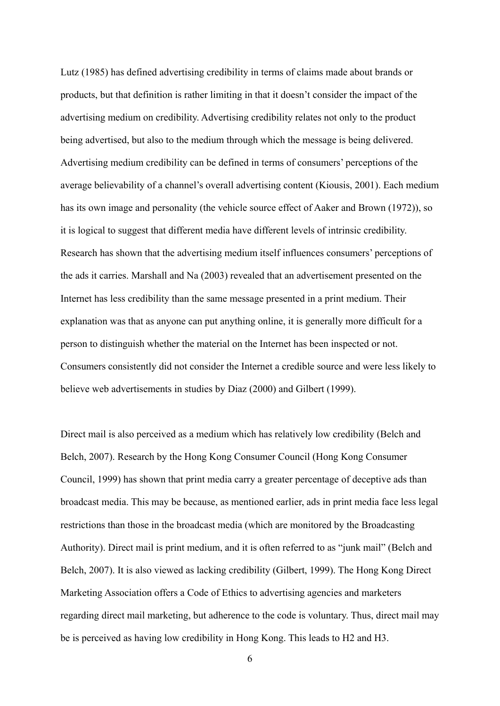Lutz (1985) has defined advertising credibility in terms of claims made about brands or products, but that definition is rather limiting in that it doesn't consider the impact of the advertising medium on credibility. Advertising credibility relates not only to the product being advertised, but also to the medium through which the message is being delivered. Advertising medium credibility can be defined in terms of consumers' perceptions of the average believability of a channel's overall advertising content (Kiousis, 2001). Each medium has its own image and personality (the vehicle source effect of Aaker and Brown (1972)), so it is logical to suggest that different media have different levels of intrinsic credibility. Research has shown that the advertising medium itself influences consumers' perceptions of the ads it carries. Marshall and Na (2003) revealed that an advertisement presented on the Internet has less credibility than the same message presented in a print medium. Their explanation was that as anyone can put anything online, it is generally more difficult for a person to distinguish whether the material on the Internet has been inspected or not. Consumers consistently did not consider the Internet a credible source and were less likely to believe web advertisements in studies by Diaz (2000) and Gilbert (1999).

Direct mail is also perceived as a medium which has relatively low credibility (Belch and Belch, 2007). Research by the Hong Kong Consumer Council (Hong Kong Consumer Council, 1999) has shown that print media carry a greater percentage of deceptive ads than broadcast media. This may be because, as mentioned earlier, ads in print media face less legal restrictions than those in the broadcast media (which are monitored by the Broadcasting Authority). Direct mail is print medium, and it is often referred to as "junk mail" (Belch and Belch, 2007). It is also viewed as lacking credibility (Gilbert, 1999). The Hong Kong Direct Marketing Association offers a Code of Ethics to advertising agencies and marketers regarding direct mail marketing, but adherence to the code is voluntary. Thus, direct mail may be is perceived as having low credibility in Hong Kong. This leads to H2 and H3.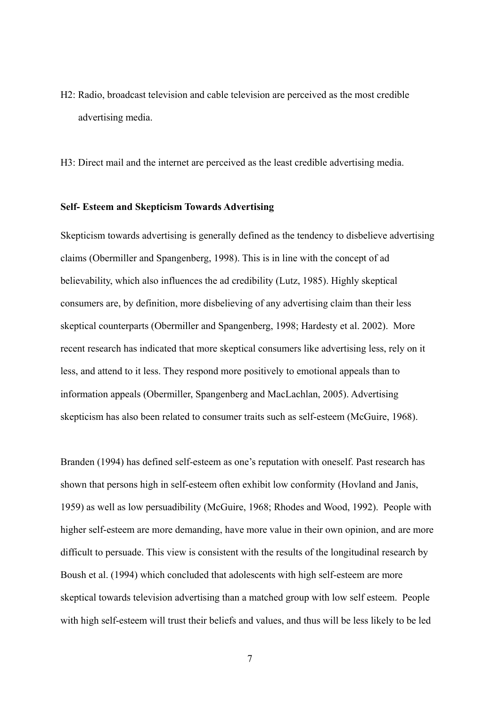H2: Radio, broadcast television and cable television are perceived as the most credible advertising media.

H3: Direct mail and the internet are perceived as the least credible advertising media.

#### **Self- Esteem and Skepticism Towards Advertising**

Skepticism towards advertising is generally defined as the tendency to disbelieve advertising claims (Obermiller and Spangenberg, 1998). This is in line with the concept of ad believability, which also influences the ad credibility (Lutz, 1985). Highly skeptical consumers are, by definition, more disbelieving of any advertising claim than their less skeptical counterparts (Obermiller and Spangenberg, 1998; Hardesty et al. 2002). More recent research has indicated that more skeptical consumers like advertising less, rely on it less, and attend to it less. They respond more positively to emotional appeals than to information appeals (Obermiller, Spangenberg and MacLachlan, 2005). Advertising skepticism has also been related to consumer traits such as self-esteem (McGuire, 1968).

Branden (1994) has defined self-esteem as one's reputation with oneself. Past research has shown that persons high in self-esteem often exhibit low conformity (Hovland and Janis, 1959) as well as low persuadibility (McGuire, 1968; Rhodes and Wood, 1992). People with higher self-esteem are more demanding, have more value in their own opinion, and are more difficult to persuade. This view is consistent with the results of the longitudinal research by Boush et al. (1994) which concluded that adolescents with high self-esteem are more skeptical towards television advertising than a matched group with low self esteem. People with high self-esteem will trust their beliefs and values, and thus will be less likely to be led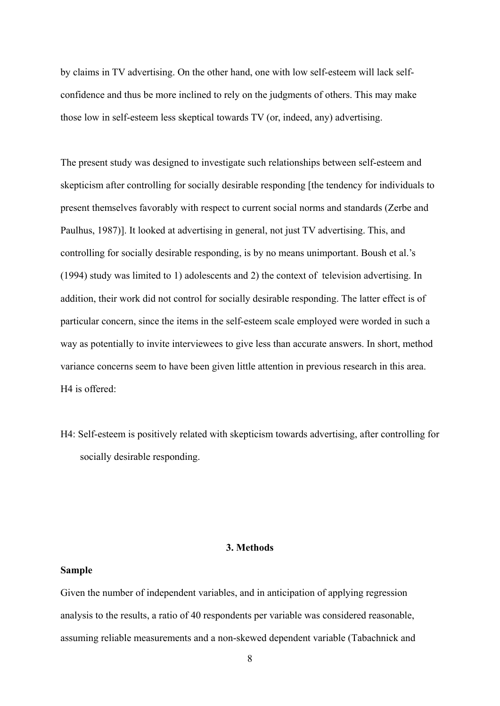by claims in TV advertising. On the other hand, one with low self-esteem will lack selfconfidence and thus be more inclined to rely on the judgments of others. This may make those low in self-esteem less skeptical towards TV (or, indeed, any) advertising.

The present study was designed to investigate such relationships between self-esteem and skepticism after controlling for socially desirable responding [the tendency for individuals to present themselves favorably with respect to current social norms and standards (Zerbe and Paulhus, 1987)]. It looked at advertising in general, not just TV advertising. This, and controlling for socially desirable responding, is by no means unimportant. Boush et al.'s (1994) study was limited to 1) adolescents and 2) the context of television advertising. In addition, their work did not control for socially desirable responding. The latter effect is of particular concern, since the items in the self-esteem scale employed were worded in such a way as potentially to invite interviewees to give less than accurate answers. In short, method variance concerns seem to have been given little attention in previous research in this area. H4 is offered:

H4: Self-esteem is positively related with skepticism towards advertising, after controlling for socially desirable responding.

## **3. Methods**

#### **Sample**

Given the number of independent variables, and in anticipation of applying regression analysis to the results, a ratio of 40 respondents per variable was considered reasonable, assuming reliable measurements and a non-skewed dependent variable (Tabachnick and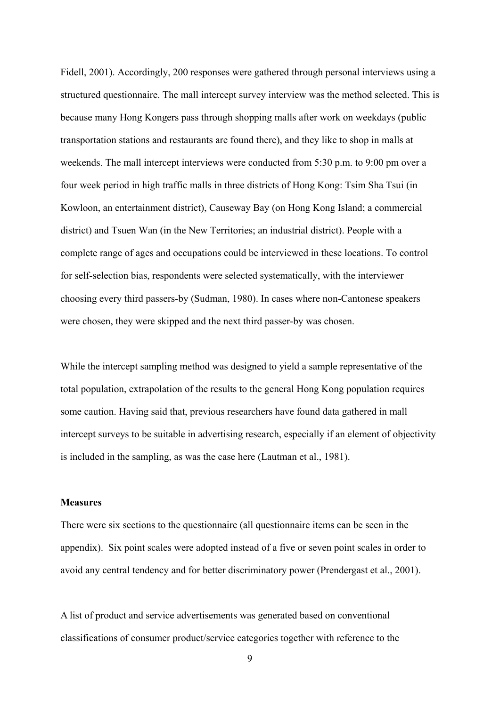Fidell, 2001). Accordingly, 200 responses were gathered through personal interviews using a structured questionnaire. The mall intercept survey interview was the method selected. This is because many Hong Kongers pass through shopping malls after work on weekdays (public transportation stations and restaurants are found there), and they like to shop in malls at weekends. The mall intercept interviews were conducted from 5:30 p.m. to 9:00 pm over a four week period in high traffic malls in three districts of Hong Kong: Tsim Sha Tsui (in Kowloon, an entertainment district), Causeway Bay (on Hong Kong Island; a commercial district) and Tsuen Wan (in the New Territories; an industrial district). People with a complete range of ages and occupations could be interviewed in these locations. To control for self-selection bias, respondents were selected systematically, with the interviewer choosing every third passers-by (Sudman, 1980). In cases where non-Cantonese speakers were chosen, they were skipped and the next third passer-by was chosen.

While the intercept sampling method was designed to yield a sample representative of the total population, extrapolation of the results to the general Hong Kong population requires some caution. Having said that, previous researchers have found data gathered in mall intercept surveys to be suitable in advertising research, especially if an element of objectivity is included in the sampling, as was the case here (Lautman et al., 1981).

#### **Measures**

There were six sections to the questionnaire (all questionnaire items can be seen in the appendix). Six point scales were adopted instead of a five or seven point scales in order to avoid any central tendency and for better discriminatory power (Prendergast et al., 2001).

A list of product and service advertisements was generated based on conventional classifications of consumer product/service categories together with reference to the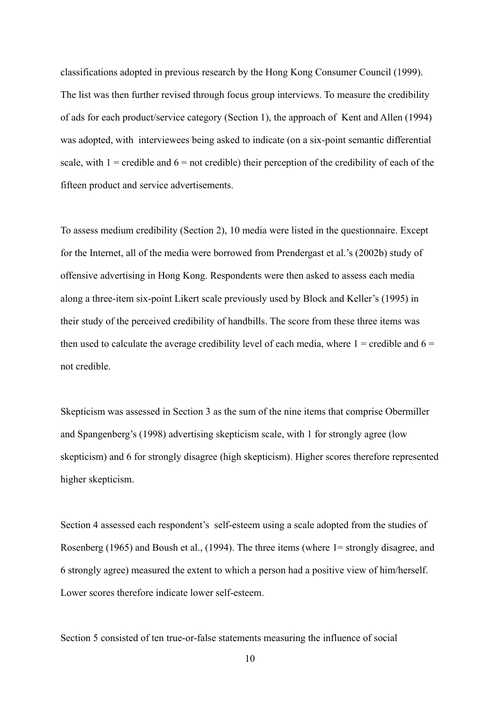classifications adopted in previous research by the Hong Kong Consumer Council (1999). The list was then further revised through focus group interviews. To measure the credibility of ads for each product/service category (Section 1), the approach of Kent and Allen (1994) was adopted, with interviewees being asked to indicate (on a six-point semantic differential scale, with  $1 =$  credible and  $6 =$  not credible) their perception of the credibility of each of the fifteen product and service advertisements.

To assess medium credibility (Section 2), 10 media were listed in the questionnaire. Except for the Internet, all of the media were borrowed from Prendergast et al.'s (2002b) study of offensive advertising in Hong Kong. Respondents were then asked to assess each media along a three-item six-point Likert scale previously used by Block and Keller's (1995) in their study of the perceived credibility of handbills. The score from these three items was then used to calculate the average credibility level of each media, where  $1 =$  credible and  $6 =$ not credible.

Skepticism was assessed in Section 3 as the sum of the nine items that comprise Obermiller and Spangenberg's (1998) advertising skepticism scale, with 1 for strongly agree (low skepticism) and 6 for strongly disagree (high skepticism). Higher scores therefore represented higher skepticism.

Section 4 assessed each respondent's self-esteem using a scale adopted from the studies of Rosenberg (1965) and Boush et al., (1994). The three items (where 1= strongly disagree, and 6 strongly agree) measured the extent to which a person had a positive view of him/herself. Lower scores therefore indicate lower self-esteem.

Section 5 consisted of ten true-or-false statements measuring the influence of social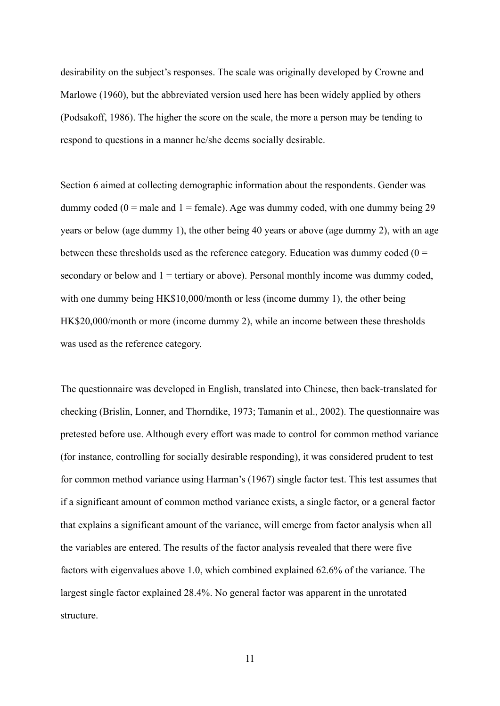desirability on the subject's responses. The scale was originally developed by Crowne and Marlowe (1960), but the abbreviated version used here has been widely applied by others (Podsakoff, 1986). The higher the score on the scale, the more a person may be tending to respond to questions in a manner he/she deems socially desirable.

Section 6 aimed at collecting demographic information about the respondents. Gender was dummy coded ( $0 =$  male and  $1 =$  female). Age was dummy coded, with one dummy being 29 years or below (age dummy 1), the other being 40 years or above (age dummy 2), with an age between these thresholds used as the reference category. Education was dummy coded  $(0 =$ secondary or below and  $1 =$  tertiary or above). Personal monthly income was dummy coded, with one dummy being HK\$10,000/month or less (income dummy 1), the other being HK\$20,000/month or more (income dummy 2), while an income between these thresholds was used as the reference category.

The questionnaire was developed in English, translated into Chinese, then back-translated for checking (Brislin, Lonner, and Thorndike, 1973; Tamanin et al., 2002). The questionnaire was pretested before use. Although every effort was made to control for common method variance (for instance, controlling for socially desirable responding), it was considered prudent to test for common method variance using Harman's (1967) single factor test. This test assumes that if a significant amount of common method variance exists, a single factor, or a general factor that explains a significant amount of the variance, will emerge from factor analysis when all the variables are entered. The results of the factor analysis revealed that there were five factors with eigenvalues above 1.0, which combined explained 62.6% of the variance. The largest single factor explained 28.4%. No general factor was apparent in the unrotated structure.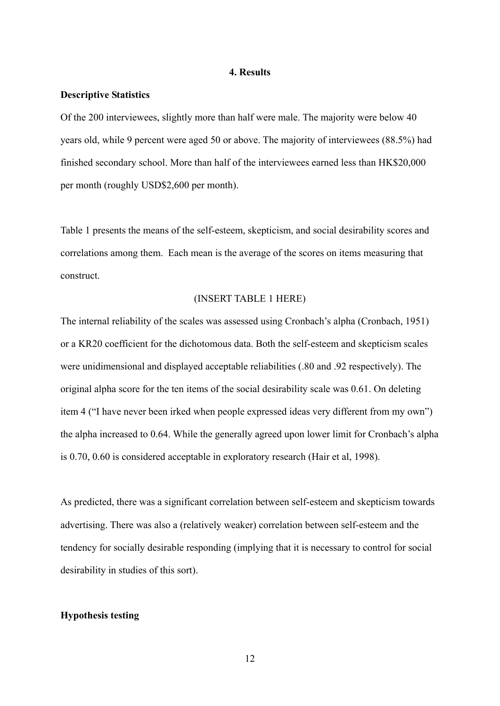#### **4. Results**

#### **Descriptive Statistics**

Of the 200 interviewees, slightly more than half were male. The majority were below 40 years old, while 9 percent were aged 50 or above. The majority of interviewees (88.5%) had finished secondary school. More than half of the interviewees earned less than HK\$20,000 per month (roughly USD\$2,600 per month).

Table 1 presents the means of the self-esteem, skepticism, and social desirability scores and correlations among them. Each mean is the average of the scores on items measuring that construct.

#### (INSERT TABLE 1 HERE)

The internal reliability of the scales was assessed using Cronbach's alpha (Cronbach, 1951) or a KR20 coefficient for the dichotomous data. Both the self-esteem and skepticism scales were unidimensional and displayed acceptable reliabilities (.80 and .92 respectively). The original alpha score for the ten items of the social desirability scale was 0.61. On deleting item 4 ("I have never been irked when people expressed ideas very different from my own") the alpha increased to 0.64. While the generally agreed upon lower limit for Cronbach's alpha is 0.70, 0.60 is considered acceptable in exploratory research (Hair et al, 1998).

As predicted, there was a significant correlation between self-esteem and skepticism towards advertising. There was also a (relatively weaker) correlation between self-esteem and the tendency for socially desirable responding (implying that it is necessary to control for social desirability in studies of this sort).

## **Hypothesis testing**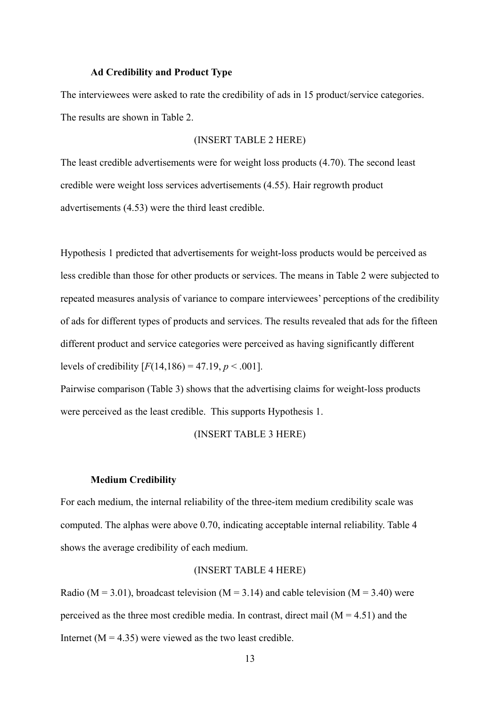#### **Ad Credibility and Product Type**

The interviewees were asked to rate the credibility of ads in 15 product/service categories. The results are shown in Table 2.

#### (INSERT TABLE 2 HERE)

The least credible advertisements were for weight loss products (4.70). The second least credible were weight loss services advertisements (4.55). Hair regrowth product advertisements (4.53) were the third least credible.

Hypothesis 1 predicted that advertisements for weight-loss products would be perceived as less credible than those for other products or services. The means in Table 2 were subjected to repeated measures analysis of variance to compare interviewees' perceptions of the credibility of ads for different types of products and services. The results revealed that ads for the fifteen different product and service categories were perceived as having significantly different levels of credibility  $[F(14,186) = 47.19, p < .001]$ .

Pairwise comparison (Table 3) shows that the advertising claims for weight-loss products were perceived as the least credible. This supports Hypothesis 1.

#### (INSERT TABLE 3 HERE)

#### **Medium Credibility**

For each medium, the internal reliability of the three-item medium credibility scale was computed. The alphas were above 0.70, indicating acceptable internal reliability. Table 4 shows the average credibility of each medium.

#### (INSERT TABLE 4 HERE)

Radio ( $M = 3.01$ ), broadcast television ( $M = 3.14$ ) and cable television ( $M = 3.40$ ) were perceived as the three most credible media. In contrast, direct mail  $(M = 4.51)$  and the Internet ( $M = 4.35$ ) were viewed as the two least credible.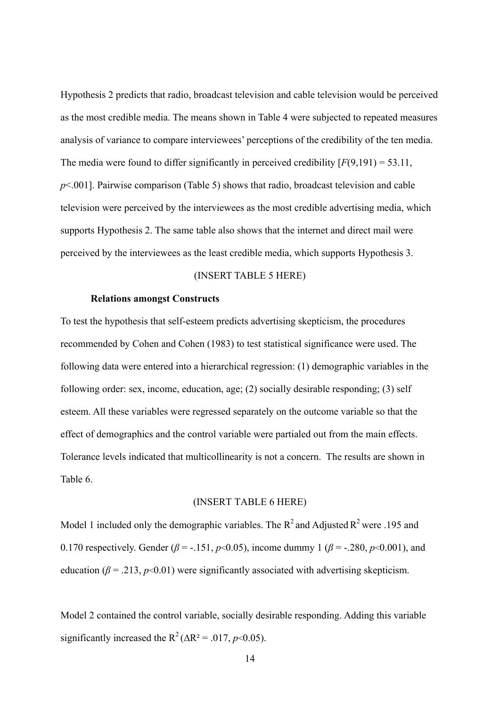Hypothesis 2 predicts that radio, broadcast television and cable television would be perceived as the most credible media. The means shown in Table 4 were subjected to repeated measures analysis of variance to compare interviewees' perceptions of the credibility of the ten media. The media were found to differ significantly in perceived credibility  $[F(9,191) = 53.11]$ , *p*<.001]. Pairwise comparison (Table 5) shows that radio, broadcast television and cable television were perceived by the interviewees as the most credible advertising media, which supports Hypothesis 2. The same table also shows that the internet and direct mail were perceived by the interviewees as the least credible media, which supports Hypothesis 3.

#### (INSERT TABLE 5 HERE)

#### **Relations amongst Constructs**

To test the hypothesis that self-esteem predicts advertising skepticism, the procedures recommended by Cohen and Cohen (1983) to test statistical significance were used. The following data were entered into a hierarchical regression: (1) demographic variables in the following order: sex, income, education, age; (2) socially desirable responding; (3) self esteem. All these variables were regressed separately on the outcome variable so that the effect of demographics and the control variable were partialed out from the main effects. Tolerance levels indicated that multicollinearity is not a concern. The results are shown in Table 6.

## (INSERT TABLE 6 HERE)

Model 1 included only the demographic variables. The  $R^2$  and Adjusted  $R^2$  were .195 and 0.170 respectively. Gender ( $\beta$  = -.151, *p*<0.05), income dummy 1 ( $\beta$  = -.280, *p*<0.001), and education ( $\beta$  = .213,  $p$ <0.01) were significantly associated with advertising skepticism.

Model 2 contained the control variable, socially desirable responding. Adding this variable significantly increased the R<sup>2</sup> ( $\Delta$ R<sup>2</sup> = .017, *p*<0.05).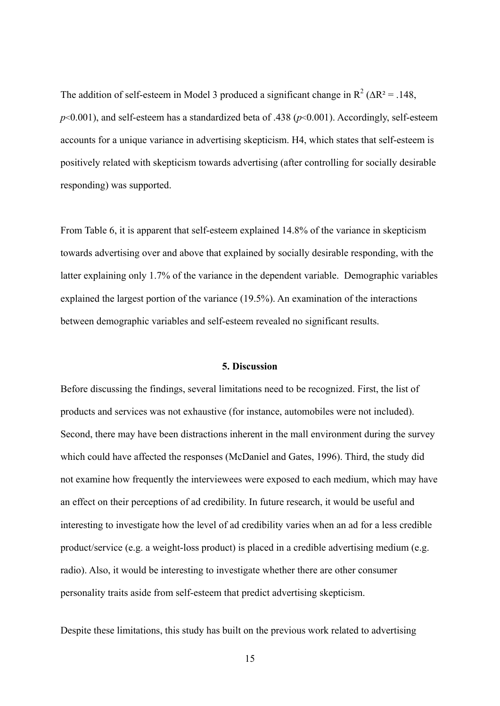The addition of self-esteem in Model 3 produced a significant change in  $R^2 (\Delta R^2 = .148, )$  $p<0.001$ ), and self-esteem has a standardized beta of .438 ( $p<0.001$ ). Accordingly, self-esteem accounts for a unique variance in advertising skepticism. H4, which states that self-esteem is positively related with skepticism towards advertising (after controlling for socially desirable responding) was supported.

From Table 6, it is apparent that self-esteem explained 14.8% of the variance in skepticism towards advertising over and above that explained by socially desirable responding, with the latter explaining only 1.7% of the variance in the dependent variable. Demographic variables explained the largest portion of the variance (19.5%). An examination of the interactions between demographic variables and self-esteem revealed no significant results.

#### **5. Discussion**

Before discussing the findings, several limitations need to be recognized. First, the list of products and services was not exhaustive (for instance, automobiles were not included). Second, there may have been distractions inherent in the mall environment during the survey which could have affected the responses (McDaniel and Gates, 1996). Third, the study did not examine how frequently the interviewees were exposed to each medium, which may have an effect on their perceptions of ad credibility. In future research, it would be useful and interesting to investigate how the level of ad credibility varies when an ad for a less credible product/service (e.g. a weight-loss product) is placed in a credible advertising medium (e.g. radio). Also, it would be interesting to investigate whether there are other consumer personality traits aside from self-esteem that predict advertising skepticism.

Despite these limitations, this study has built on the previous work related to advertising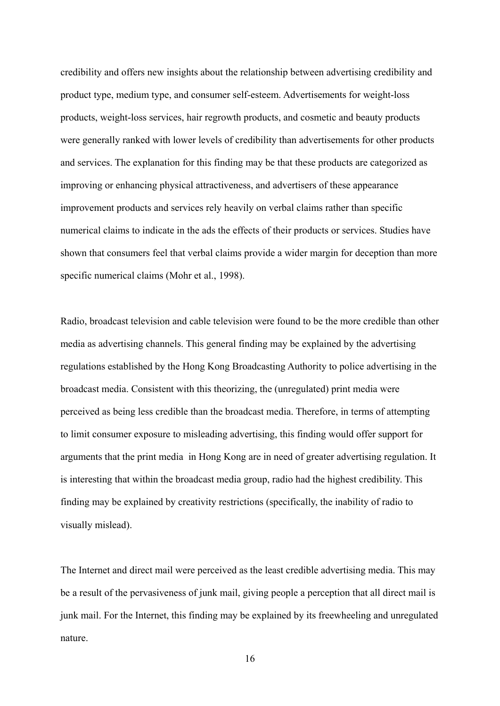credibility and offers new insights about the relationship between advertising credibility and product type, medium type, and consumer self-esteem. Advertisements for weight-loss products, weight-loss services, hair regrowth products, and cosmetic and beauty products were generally ranked with lower levels of credibility than advertisements for other products and services. The explanation for this finding may be that these products are categorized as improving or enhancing physical attractiveness, and advertisers of these appearance improvement products and services rely heavily on verbal claims rather than specific numerical claims to indicate in the ads the effects of their products or services. Studies have shown that consumers feel that verbal claims provide a wider margin for deception than more specific numerical claims (Mohr et al., 1998).

Radio, broadcast television and cable television were found to be the more credible than other media as advertising channels. This general finding may be explained by the advertising regulations established by the Hong Kong Broadcasting Authority to police advertising in the broadcast media. Consistent with this theorizing, the (unregulated) print media were perceived as being less credible than the broadcast media. Therefore, in terms of attempting to limit consumer exposure to misleading advertising, this finding would offer support for arguments that the print media in Hong Kong are in need of greater advertising regulation. It is interesting that within the broadcast media group, radio had the highest credibility. This finding may be explained by creativity restrictions (specifically, the inability of radio to visually mislead).

The Internet and direct mail were perceived as the least credible advertising media. This may be a result of the pervasiveness of junk mail, giving people a perception that all direct mail is junk mail. For the Internet, this finding may be explained by its freewheeling and unregulated nature.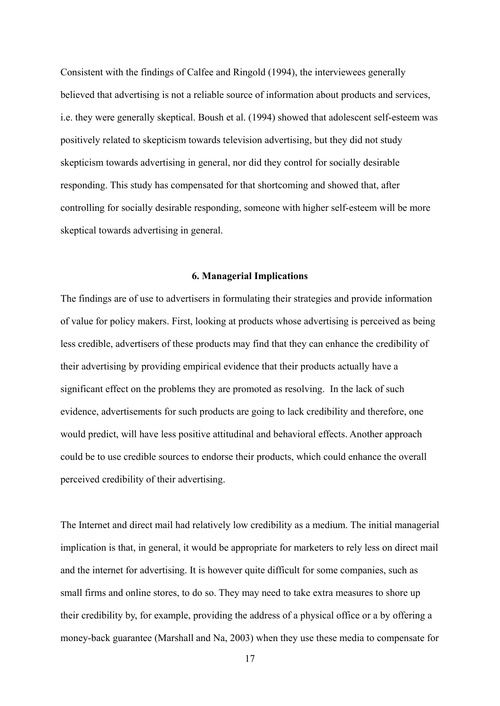Consistent with the findings of Calfee and Ringold (1994), the interviewees generally believed that advertising is not a reliable source of information about products and services, i.e. they were generally skeptical. Boush et al. (1994) showed that adolescent self-esteem was positively related to skepticism towards television advertising, but they did not study skepticism towards advertising in general, nor did they control for socially desirable responding. This study has compensated for that shortcoming and showed that, after controlling for socially desirable responding, someone with higher self-esteem will be more skeptical towards advertising in general.

#### **6. Managerial Implications**

The findings are of use to advertisers in formulating their strategies and provide information of value for policy makers. First, looking at products whose advertising is perceived as being less credible, advertisers of these products may find that they can enhance the credibility of their advertising by providing empirical evidence that their products actually have a significant effect on the problems they are promoted as resolving. In the lack of such evidence, advertisements for such products are going to lack credibility and therefore, one would predict, will have less positive attitudinal and behavioral effects. Another approach could be to use credible sources to endorse their products, which could enhance the overall perceived credibility of their advertising.

The Internet and direct mail had relatively low credibility as a medium. The initial managerial implication is that, in general, it would be appropriate for marketers to rely less on direct mail and the internet for advertising. It is however quite difficult for some companies, such as small firms and online stores, to do so. They may need to take extra measures to shore up their credibility by, for example, providing the address of a physical office or a by offering a money-back guarantee (Marshall and Na, 2003) when they use these media to compensate for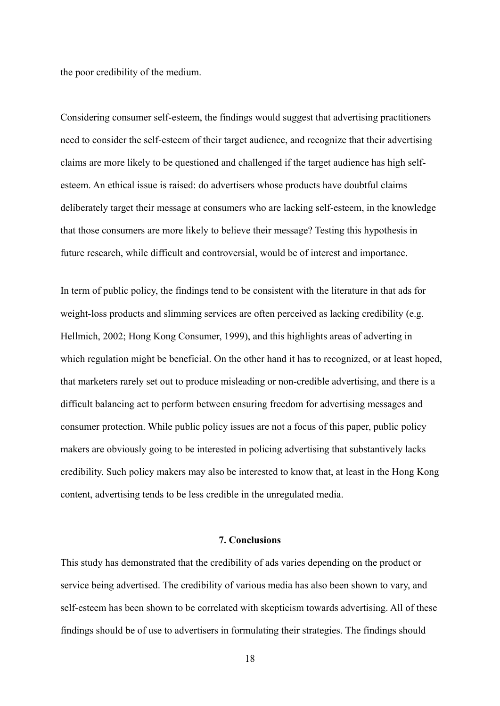the poor credibility of the medium.

Considering consumer self-esteem, the findings would suggest that advertising practitioners need to consider the self-esteem of their target audience, and recognize that their advertising claims are more likely to be questioned and challenged if the target audience has high selfesteem. An ethical issue is raised: do advertisers whose products have doubtful claims deliberately target their message at consumers who are lacking self-esteem, in the knowledge that those consumers are more likely to believe their message? Testing this hypothesis in future research, while difficult and controversial, would be of interest and importance.

In term of public policy, the findings tend to be consistent with the literature in that ads for weight-loss products and slimming services are often perceived as lacking credibility (e.g. Hellmich, 2002; Hong Kong Consumer, 1999), and this highlights areas of adverting in which regulation might be beneficial. On the other hand it has to recognized, or at least hoped, that marketers rarely set out to produce misleading or non-credible advertising, and there is a difficult balancing act to perform between ensuring freedom for advertising messages and consumer protection. While public policy issues are not a focus of this paper, public policy makers are obviously going to be interested in policing advertising that substantively lacks credibility. Such policy makers may also be interested to know that, at least in the Hong Kong content, advertising tends to be less credible in the unregulated media.

## **7. Conclusions**

This study has demonstrated that the credibility of ads varies depending on the product or service being advertised. The credibility of various media has also been shown to vary, and self-esteem has been shown to be correlated with skepticism towards advertising. All of these findings should be of use to advertisers in formulating their strategies. The findings should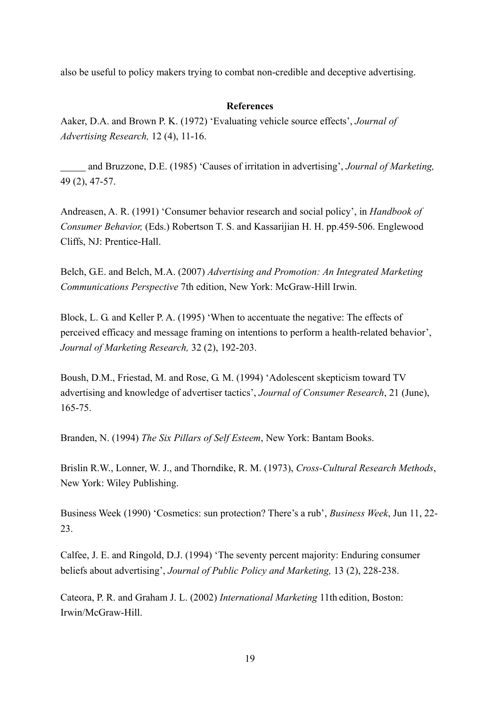also be useful to policy makers trying to combat non-credible and deceptive advertising.

## **References**

Aaker, D.A. and Brown P. K. (1972) 'Evaluating vehicle source effects', *Journal of Advertising Research,* 12 (4), 11-16.

 and Bruzzone, D.E. (1985) 'Causes of irritation in advertising', *Journal of Marketing,* 49 (2), 47-57.

Andreasen, A. R. (1991) 'Consumer behavior research and social policy', in *Handbook of Consumer Behavior,* (Eds.) Robertson T. S. and Kassarijian H. H. pp.459-506. Englewood Cliffs, NJ: Prentice-Hall.

Belch, G.E. and Belch, M.A. (2007) *Advertising and Promotion: An Integrated Marketing Communications Perspective* 7th edition, New York: McGraw-Hill Irwin.

Block, L. G. and Keller P. A. (1995) 'When to accentuate the negative: The effects of perceived efficacy and message framing on intentions to perform a health-related behavior', *Journal of Marketing Research,* 32 (2), 192-203.

Boush, D.M., Friestad, M. and Rose, G. M. (1994) 'Adolescent skepticism toward TV advertising and knowledge of advertiser tactics', *Journal of Consumer Research*, 21 (June), 165-75.

Branden, N. (1994) *The Six Pillars of Self Esteem*, New York: Bantam Books.

Brislin R.W., Lonner, W. J., and Thorndike, R. M. (1973), *Cross-Cultural Research Methods*, New York: Wiley Publishing.

Business Week (1990) 'Cosmetics: sun protection? There's a rub', *Business Week*, Jun 11, 22- 23.

Calfee, J. E. and Ringold, D.J. (1994) 'The seventy percent majority: Enduring consumer beliefs about advertising', *Journal of Public Policy and Marketing,* 13 (2), 228-238.

Cateora, P. R. and Graham J. L. (2002) *International Marketing* 11th edition, Boston: Irwin/McGraw-Hill.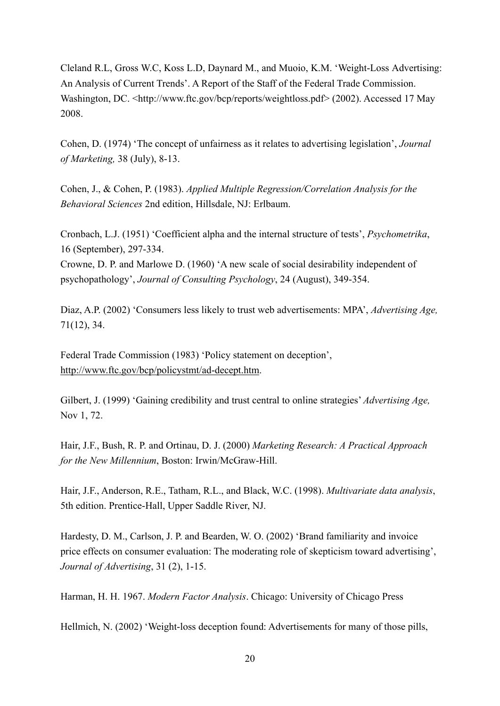Cleland R.L, Gross W.C, Koss L.D, Daynard M., and Muoio, K.M. 'Weight-Loss Advertising: An Analysis of Current Trends'. A Report of the Staff of the Federal Trade Commission. Washington, DC. <http://www.ftc.gov/bcp/reports/weightloss.pdf> (2002). Accessed 17 May 2008.

Cohen, D. (1974) 'The concept of unfairness as it relates to advertising legislation', *Journal of Marketing,* 38 (July), 8-13.

Cohen, J., & Cohen, P. (1983). *Applied Multiple Regression/Correlation Analysis for the Behavioral Sciences* 2nd edition, Hillsdale, NJ: Erlbaum.

Cronbach, L.J. (1951) 'Coefficient alpha and the internal structure of tests', *Psychometrika*, 16 (September), 297-334.

Crowne, D. P. and Marlowe D. (1960) 'A new scale of social desirability independent of psychopathology', *Journal of Consulting Psychology*, 24 (August), 349-354.

Diaz, A.P. (2002) 'Consumers less likely to trust web advertisements: MPA', *Advertising Age,*  71(12), 34.

Federal Trade Commission (1983) 'Policy statement on deception', http://www.ftc.gov/bcp/policystmt/ad-decept.htm.

Gilbert, J. (1999) 'Gaining credibility and trust central to online strategies' *Advertising Age,*  Nov 1, 72.

Hair, J.F., Bush, R. P. and Ortinau, D. J. (2000) *Marketing Research: A Practical Approach for the New Millennium*, Boston: Irwin/McGraw-Hill.

Hair, J.F., Anderson, R.E., Tatham, R.L., and Black, W.C. (1998). *Multivariate data analysis*, 5th edition. Prentice-Hall, Upper Saddle River, NJ.

Hardesty, D. M., Carlson, J. P. and Bearden, W. O. (2002) 'Brand familiarity and invoice price effects on consumer evaluation: The moderating role of skepticism toward advertising', *Journal of Advertising*, 31 (2), 1-15.

Harman, H. H. 1967. *Modern Factor Analysis*. Chicago: University of Chicago Press

Hellmich, N. (2002) 'Weight-loss deception found: Advertisements for many of those pills,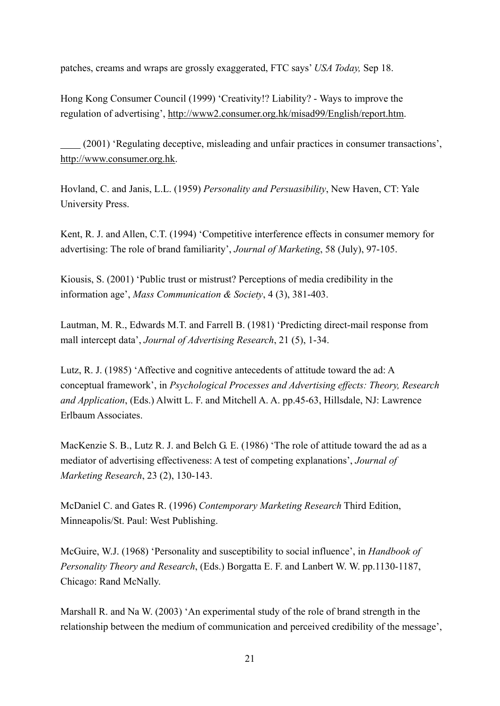patches, creams and wraps are grossly exaggerated, FTC says' *USA Today,* Sep 18.

Hong Kong Consumer Council (1999) 'Creativity!? Liability? - Ways to improve the regulation of advertising', http://www2.consumer.org.hk/misad99/English/report.htm.

 (2001) 'Regulating deceptive, misleading and unfair practices in consumer transactions', http://www.consumer.org.hk.

Hovland, C. and Janis, L.L. (1959) *Personality and Persuasibility*, New Haven, CT: Yale University Press.

Kent, R. J. and Allen, C.T. (1994) 'Competitive interference effects in consumer memory for advertising: The role of brand familiarity', *Journal of Marketing*, 58 (July), 97-105.

Kiousis, S. (2001) 'Public trust or mistrust? Perceptions of media credibility in the information age', *Mass Communication & Society*, 4 (3), 381-403.

Lautman, M. R., Edwards M.T. and Farrell B. (1981) 'Predicting direct-mail response from mall intercept data', *Journal of Advertising Research*, 21 (5), 1-34.

Lutz, R. J. (1985) 'Affective and cognitive antecedents of attitude toward the ad: A conceptual framework', in *Psychological Processes and Advertising effects: Theory, Research and Application*, (Eds.) Alwitt L. F. and Mitchell A. A. pp.45-63, Hillsdale, NJ: Lawrence Erlbaum Associates.

MacKenzie S. B., Lutz R. J. and Belch G. E. (1986) 'The role of attitude toward the ad as a mediator of advertising effectiveness: A test of competing explanations', *Journal of Marketing Research*, 23 (2), 130-143.

McDaniel C. and Gates R. (1996) *Contemporary Marketing Research* Third Edition, Minneapolis/St. Paul: West Publishing.

McGuire, W.J. (1968) 'Personality and susceptibility to social influence', in *Handbook of Personality Theory and Research*, (Eds.) Borgatta E. F. and Lanbert W. W. pp.1130-1187, Chicago: Rand McNally.

Marshall R. and Na W. (2003) 'An experimental study of the role of brand strength in the relationship between the medium of communication and perceived credibility of the message',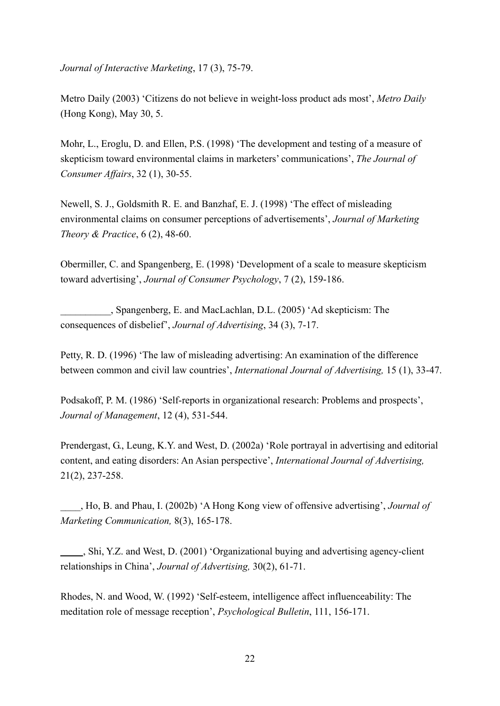*Journal of Interactive Marketing*, 17 (3), 75-79.

Metro Daily (2003) 'Citizens do not believe in weight-loss product ads most', *Metro Daily*  (Hong Kong), May 30, 5.

Mohr, L., Eroglu, D. and Ellen, P.S. (1998) 'The development and testing of a measure of skepticism toward environmental claims in marketers' communications', *The Journal of Consumer Affairs*, 32 (1), 30-55.

Newell, S. J., Goldsmith R. E. and Banzhaf, E. J. (1998) 'The effect of misleading environmental claims on consumer perceptions of advertisements', *Journal of Marketing Theory & Practice*, 6 (2), 48-60.

Obermiller, C. and Spangenberg, E. (1998) 'Development of a scale to measure skepticism toward advertising', *Journal of Consumer Psychology*, 7 (2), 159-186.

\_\_\_\_\_\_\_\_\_\_, Spangenberg, E. and MacLachlan, D.L. (2005) 'Ad skepticism: The consequences of disbelief', *Journal of Advertising*, 34 (3), 7-17.

Petty, R. D. (1996) 'The law of misleading advertising: An examination of the difference between common and civil law countries', *International Journal of Advertising,* 15 (1), 33-47.

Podsakoff, P. M. (1986) 'Self-reports in organizational research: Problems and prospects', *Journal of Management*, 12 (4), 531-544.

Prendergast, G., Leung, K.Y. and West, D. (2002a) 'Role portrayal in advertising and editorial content, and eating disorders: An Asian perspective', *International Journal of Advertising,* 21(2), 237-258.

\_\_\_\_, Ho, B. and Phau, I. (2002b) 'A Hong Kong view of offensive advertising', *Journal of Marketing Communication,* 8(3), 165-178.

 , Shi, Y.Z. and West, D. (2001) 'Organizational buying and advertising agency-client relationships in China', *Journal of Advertising,* 30(2), 61-71.

Rhodes, N. and Wood, W. (1992) 'Self-esteem, intelligence affect influenceability: The meditation role of message reception', *Psychological Bulletin*, 111, 156-171.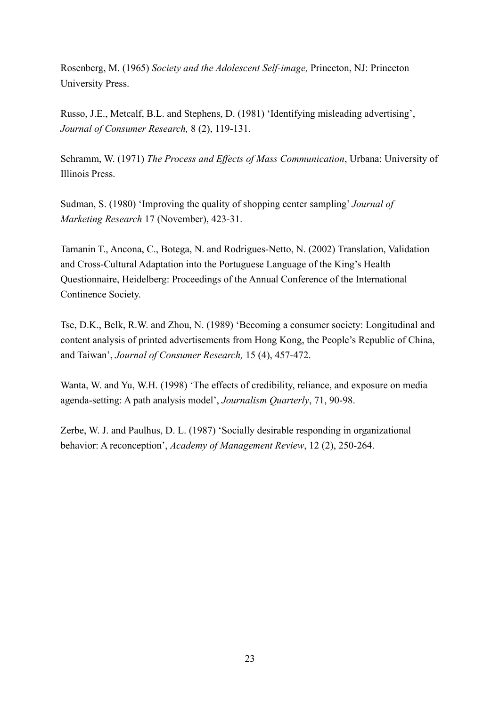Rosenberg, M. (1965) *Society and the Adolescent Self-image,* Princeton, NJ: Princeton University Press.

Russo, J.E., Metcalf, B.L. and Stephens, D. (1981) 'Identifying misleading advertising', *Journal of Consumer Research,* 8 (2), 119-131.

Schramm, W. (1971) *The Process and Effects of Mass Communication*, Urbana: University of Illinois Press.

Sudman, S. (1980) 'Improving the quality of shopping center sampling' *Journal of Marketing Research* 17 (November), 423-31.

Tamanin T., Ancona, C., Botega, N. and Rodrigues-Netto, N. (2002) Translation, Validation and Cross-Cultural Adaptation into the Portuguese Language of the King's Health Questionnaire, Heidelberg: Proceedings of the Annual Conference of the International Continence Society.

Tse, D.K., Belk, R.W. and Zhou, N. (1989) 'Becoming a consumer society: Longitudinal and content analysis of printed advertisements from Hong Kong, the People's Republic of China, and Taiwan', *Journal of Consumer Research,* 15 (4), 457-472.

Wanta, W. and Yu, W.H. (1998) 'The effects of credibility, reliance, and exposure on media agenda-setting: A path analysis model', *Journalism Quarterly*, 71, 90-98.

Zerbe, W. J. and Paulhus, D. L. (1987) 'Socially desirable responding in organizational behavior: A reconception', *Academy of Management Review*, 12 (2), 250-264.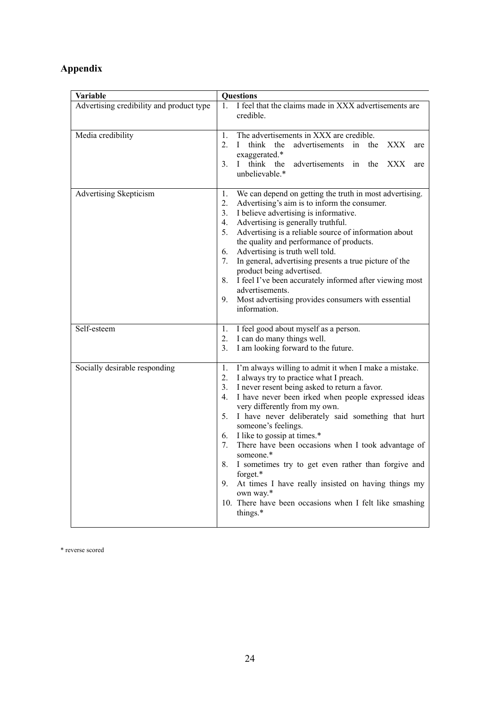# **Appendix**

| Variable                                 | <b>Questions</b>                                                                                                                                                                                                                                                                                                                                                                                                                                                                                                                                                                                                                                                                          |  |  |  |  |  |  |  |
|------------------------------------------|-------------------------------------------------------------------------------------------------------------------------------------------------------------------------------------------------------------------------------------------------------------------------------------------------------------------------------------------------------------------------------------------------------------------------------------------------------------------------------------------------------------------------------------------------------------------------------------------------------------------------------------------------------------------------------------------|--|--|--|--|--|--|--|
| Advertising credibility and product type | I feel that the claims made in XXX advertisements are<br>$\mathbf{1}$<br>credible.                                                                                                                                                                                                                                                                                                                                                                                                                                                                                                                                                                                                        |  |  |  |  |  |  |  |
| Media credibility                        | $1_{-}$<br>The advertisements in XXX are credible.<br>2.<br>advertisements<br>$\mathbf{I}$<br>think the<br>in<br>the<br>XXX<br>are<br>exaggerated.*<br>3 <sub>1</sub><br>think the<br>advertisements in<br>the XXX<br>$\top$<br>are<br>unbelievable.*                                                                                                                                                                                                                                                                                                                                                                                                                                     |  |  |  |  |  |  |  |
| Advertising Skepticism                   | 1.<br>We can depend on getting the truth in most advertising.<br>2.<br>Advertising's aim is to inform the consumer.<br>I believe advertising is informative.<br>3.<br>4.<br>Advertising is generally truthful.<br>5.<br>Advertising is a reliable source of information about<br>the quality and performance of products.<br>6.<br>Advertising is truth well told.<br>7.<br>In general, advertising presents a true picture of the<br>product being advertised.<br>8.<br>I feel I've been accurately informed after viewing most<br>advertisements.<br>Most advertising provides consumers with essential<br>9.<br>information.                                                           |  |  |  |  |  |  |  |
| Self-esteem                              | 1.<br>I feel good about myself as a person.<br>2.<br>I can do many things well.<br>3.<br>I am looking forward to the future.                                                                                                                                                                                                                                                                                                                                                                                                                                                                                                                                                              |  |  |  |  |  |  |  |
| Socially desirable responding            | I'm always willing to admit it when I make a mistake.<br>1.<br>2.<br>I always try to practice what I preach.<br>3.<br>I never resent being asked to return a favor.<br>4.<br>I have never been irked when people expressed ideas<br>very differently from my own.<br>5. I have never deliberately said something that hurt<br>someone's feelings.<br>I like to gossip at times.*<br>6.<br>There have been occasions when I took advantage of<br>7.<br>someone.*<br>8.<br>I sometimes try to get even rather than forgive and<br>forget.*<br>9.<br>At times I have really insisted on having things my<br>own way.*<br>10. There have been occasions when I felt like smashing<br>things.* |  |  |  |  |  |  |  |

\* reverse scored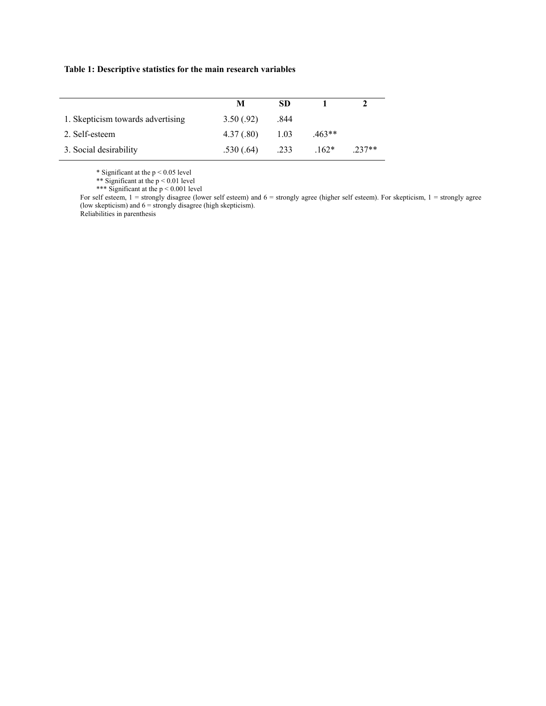#### **Table 1: Descriptive statistics for the main research variables**

|                                   | М         | SD.  |          |          |
|-----------------------------------|-----------|------|----------|----------|
| 1. Skepticism towards advertising | 3.50(.92) | .844 |          |          |
| 2. Self-esteem                    | 4.37(.80) | 1.03 | $.463**$ |          |
| 3. Social desirability            | .530(.64) | .233 | $162*$   | $.237**$ |

\* Significant at the  $p < 0.05$  level

\*\* Significant at the  $p < 0.01$  level

\*\*\* Significant at the p < 0.001 level

For self esteem, 1 = strongly disagree (lower self esteem) and 6 = strongly agree (higher self esteem). For skepticism, 1 = strongly agree (low skepticism) and  $6 =$  strongly disagree (high skepticism). Reliabilities in parenthesis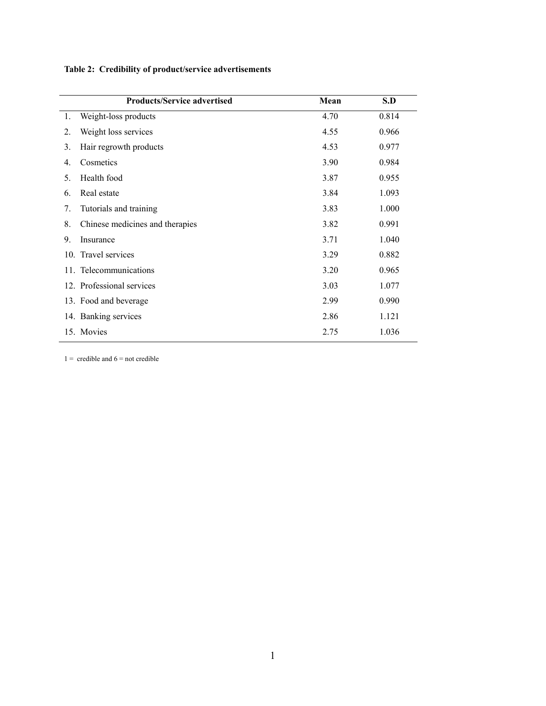**Table 2: Credibility of product/service advertisements** 

|                  | <b>Products/Service advertised</b> | Mean | S.D   |
|------------------|------------------------------------|------|-------|
| 1.               | Weight-loss products               | 4.70 | 0.814 |
| 2.               | Weight loss services               | 4.55 | 0.966 |
| 3.               | Hair regrowth products             | 4.53 | 0.977 |
| $\overline{4}$ . | Cosmetics                          | 3.90 | 0.984 |
| 5.               | Health food                        | 3.87 | 0.955 |
| 6.               | Real estate                        | 3.84 | 1.093 |
| 7.               | Tutorials and training             | 3.83 | 1.000 |
| 8.               | Chinese medicines and therapies    | 3.82 | 0.991 |
| 9.               | Insurance                          | 3.71 | 1.040 |
|                  | 10. Travel services                | 3.29 | 0.882 |
|                  | 11. Telecommunications             | 3.20 | 0.965 |
|                  | 12. Professional services          | 3.03 | 1.077 |
|                  | 13. Food and beverage              | 2.99 | 0.990 |
|                  | 14. Banking services               | 2.86 | 1.121 |
|                  | 15. Movies                         | 2.75 | 1.036 |

 $1 =$  credible and  $6 =$  not credible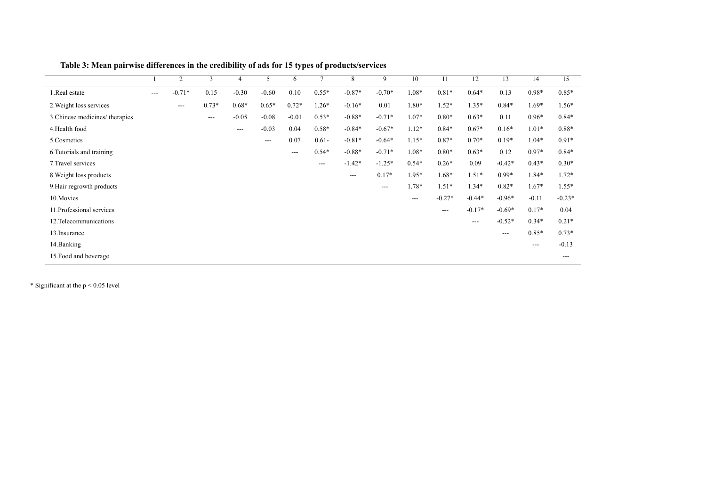|                                |       | 2                 | 3       | $\overline{4}$ | 5                         | 6       | $\overline{7}$ | 8        | 9        | 10      | 11       | 12       | 13       | 14      | 15       |
|--------------------------------|-------|-------------------|---------|----------------|---------------------------|---------|----------------|----------|----------|---------|----------|----------|----------|---------|----------|
| 1.Real estate                  | $---$ | $-0.71*$          | 0.15    | $-0.30$        | $-0.60$                   | 0.10    | $0.55*$        | $-0.87*$ | $-0.70*$ | 1.08*   | $0.81*$  | $0.64*$  | 0.13     | $0.98*$ | $0.85*$  |
| 2. Weight loss services        |       | $\qquad \qquad -$ | $0.73*$ | $0.68*$        | $0.65*$                   | $0.72*$ | $1.26*$        | $-0.16*$ | 0.01     | 1.80*   | $1.52*$  | $1.35*$  | $0.84*$  | 1.69*   | $1.56*$  |
| 3. Chinese medicines/therapies |       |                   | ---     | $-0.05$        | $-0.08$                   | $-0.01$ | $0.53*$        | $-0.88*$ | $-0.71*$ | $1.07*$ | $0.80*$  | $0.63*$  | 0.11     | $0.96*$ | $0.84*$  |
| 4. Health food                 |       |                   |         | $---$          | $-0.03$                   | 0.04    | $0.58*$        | $-0.84*$ | $-0.67*$ | $1.12*$ | $0.84*$  | $0.67*$  | $0.16*$  | $1.01*$ | $0.88*$  |
| 5.Cosmetics                    |       |                   |         |                | $\qquad \qquad -\qquad -$ | 0.07    | $0.61 -$       | $-0.81*$ | $-0.64*$ | $1.15*$ | $0.87*$  | $0.70*$  | $0.19*$  | $1.04*$ | $0.91*$  |
| 6. Tutorials and training      |       |                   |         |                |                           | $---$   | $0.54*$        | $-0.88*$ | $-0.71*$ | 1.08*   | $0.80*$  | $0.63*$  | 0.12     | $0.97*$ | $0.84*$  |
| 7. Travel services             |       |                   |         |                |                           |         | $---$          | $-1.42*$ | $-1.25*$ | $0.54*$ | $0.26*$  | 0.09     | $-0.42*$ | $0.43*$ | $0.30*$  |
| 8. Weight loss products        |       |                   |         |                |                           |         |                | $---$    | $0.17*$  | $1.95*$ | $1.68*$  | $1.51*$  | $0.99*$  | 1.84*   | $1.72*$  |
| 9. Hair regrowth products      |       |                   |         |                |                           |         |                |          | $---$    | 1.78*   | $1.51*$  | $1.34*$  | $0.82*$  | $1.67*$ | $1.55*$  |
| 10. Movies                     |       |                   |         |                |                           |         |                |          |          | ---     | $-0.27*$ | $-0.44*$ | $-0.96*$ | $-0.11$ | $-0.23*$ |
| 11. Professional services      |       |                   |         |                |                           |         |                |          |          |         | $---$    | $-0.17*$ | $-0.69*$ | $0.17*$ | 0.04     |
| 12. Telecommunications         |       |                   |         |                |                           |         |                |          |          |         |          | ---      | $-0.52*$ | $0.34*$ | $0.21*$  |
| 13. Insurance                  |       |                   |         |                |                           |         |                |          |          |         |          |          | ---      | $0.85*$ | $0.73*$  |
| 14. Banking                    |       |                   |         |                |                           |         |                |          |          |         |          |          |          | $---$   | $-0.13$  |
| 15. Food and beverage          |       |                   |         |                |                           |         |                |          |          |         |          |          |          |         | $---$    |

**Table 3: Mean pairwise differences in the credibility of ads for 15 types of products/services** 

 $*$  Significant at the  $p < 0.05$  level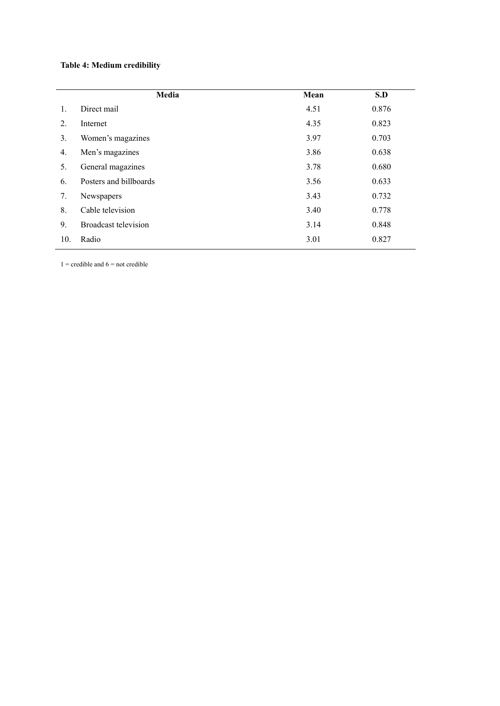# **Table 4: Medium credibility**

| Media                  | Mean | S.D   |
|------------------------|------|-------|
| Direct mail            | 4.51 | 0.876 |
| Internet               | 4.35 | 0.823 |
| Women's magazines      | 3.97 | 0.703 |
| Men's magazines        | 3.86 | 0.638 |
| General magazines      | 3.78 | 0.680 |
| Posters and billboards | 3.56 | 0.633 |
| Newspapers             | 3.43 | 0.732 |
| Cable television       | 3.40 | 0.778 |
| Broadcast television   | 3.14 | 0.848 |
| Radio                  | 3.01 | 0.827 |
|                        |      |       |

 $1 =$  credible and  $6 =$  not credible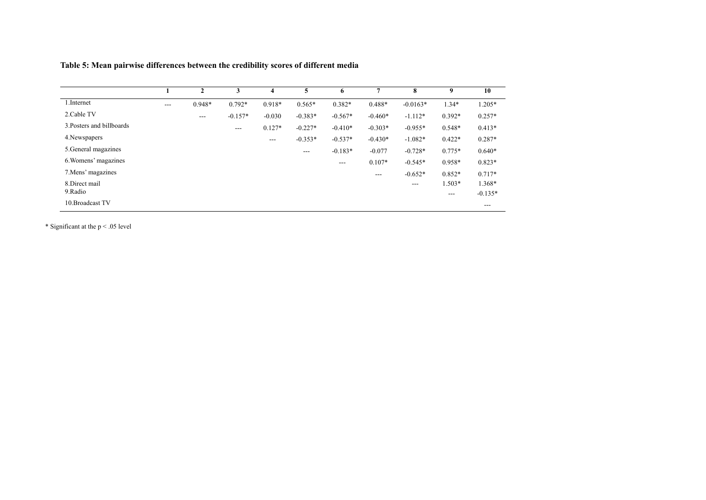|                           |       | 2        | 3         | 4        | 5         | 6         | 7         | 8          | 9                 | 10        |
|---------------------------|-------|----------|-----------|----------|-----------|-----------|-----------|------------|-------------------|-----------|
| 1. Internet               | $---$ | $0.948*$ | $0.792*$  | $0.918*$ | $0.565*$  | $0.382*$  | $0.488*$  | $-0.0163*$ | $1.34*$           | 1.205*    |
| 2. Cable TV               |       | $---$    | $-0.157*$ | $-0.030$ | $-0.383*$ | $-0.567*$ | $-0.460*$ | $-1.112*$  | $0.392*$          | $0.257*$  |
| 3. Posters and billboards |       |          | $---$     | $0.127*$ | $-0.227*$ | $-0.410*$ | $-0.303*$ | $-0.955*$  | $0.548*$          | $0.413*$  |
| 4. Newspapers             |       |          |           | $---$    | $-0.353*$ | $-0.537*$ | $-0.430*$ | $-1.082*$  | $0.422*$          | $0.287*$  |
| 5. General magazines      |       |          |           |          | $---$     | $-0.183*$ | $-0.077$  | $-0.728*$  | $0.775*$          | $0.640*$  |
| 6. Womens' magazines      |       |          |           |          |           | $---$     | $0.107*$  | $-0.545*$  | 0.958*            | $0.823*$  |
| 7. Mens' magazines        |       |          |           |          |           |           | $---$     | $-0.652*$  | $0.852*$          | $0.717*$  |
| 8.Direct mail             |       |          |           |          |           |           |           | ---        | 1.503*            | 1.368*    |
| 9.Radio                   |       |          |           |          |           |           |           |            | $\qquad \qquad -$ | $-0.135*$ |
| 10. Broadcast TV          |       |          |           |          |           |           |           |            |                   | $---$     |

**Table 5: Mean pairwise differences between the credibility scores of different media** 

\* Significant at the p < .05 level